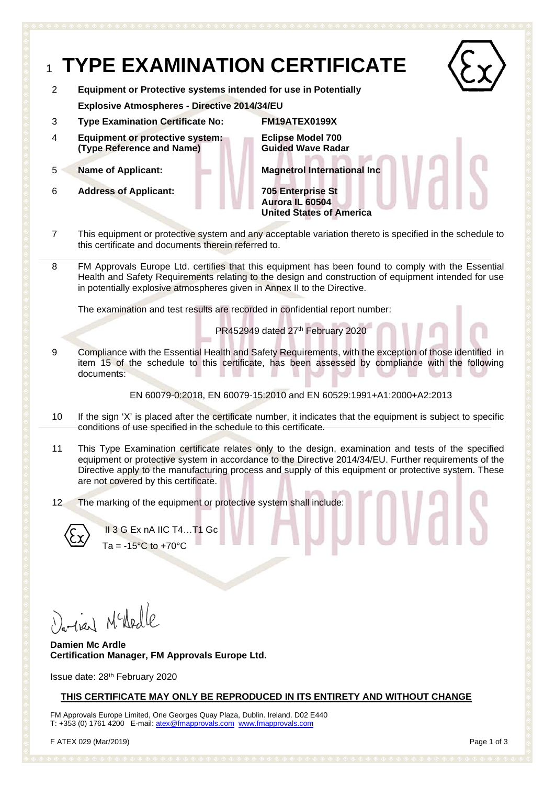### <sup>1</sup> **TYPE EXAMINATION CERTIFICATE** 2 **Equipment or Protective systems intended for use in Potentially Explosive Atmospheres - Directive 2014/34/EU** 3 **Type Examination Certificate No: FM19ATEX0199X** 4 **Equipment or protective system: (Type Reference and Name) Eclipse Model 700 Guided Wave Radar** 5 **Name of Applicant: Magnetrol International Inc** 6 **Address of Applicant: 705 Enterprise St Aurora IL 60504 United States of America**

- 7 This equipment or protective system and any acceptable variation thereto is specified in the schedule to this certificate and documents therein referred to.
- 8 FM Approvals Europe Ltd. certifies that this equipment has been found to comply with the Essential Health and Safety Requirements relating to the design and construction of equipment intended for use in potentially explosive atmospheres given in Annex II to the Directive.

The examination and test results are recorded in confidential report number:

PR452949 dated 27th February 2020

9 Compliance with the Essential Health and Safety Requirements, with the exception of those identified in item 15 of the schedule to this certificate, has been assessed by compliance with the following documents:

EN 60079-0:2018, EN 60079-15:2010 and EN 60529:1991+A1:2000+A2:2013

- 10 If the sign 'X' is placed after the certificate number, it indicates that the equipment is subject to specific conditions of use specified in the schedule to this certificate.
- 11 This Type Examination certificate relates only to the design, examination and tests of the specified equipment or protective system in accordance to the Directive 2014/34/EU. Further requirements of the Directive apply to the manufacturing process and supply of this equipment or protective system. These are not covered by this certificate.
- 12 The marking of the equipment or protective system shall include:



II 3 G Ex nA IIC T4…T1 Gc  $Ta = -15^{\circ}C$  to  $+70^{\circ}C$ 

arien Nededle

**Damien Mc Ardle Certification Manager, FM Approvals Europe Ltd.**

Issue date: 28th February 2020

#### **THIS CERTIFICATE MAY ONLY BE REPRODUCED IN ITS ENTIRETY AND WITHOUT CHANGE**

FM Approvals Europe Limited, One Georges Quay Plaza, Dublin. Ireland. D02 E440 T: +353 (0) 1761 4200 E-mail: atex@fmapprovals.com www.fmapprovals.com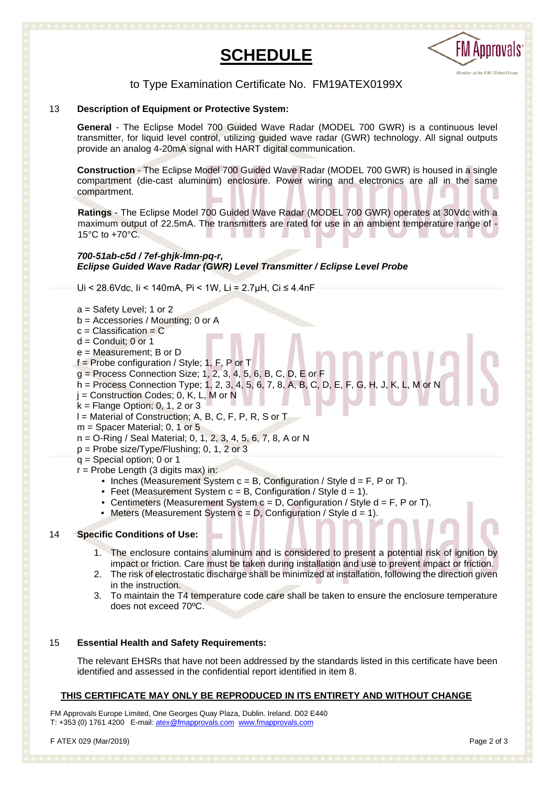



#### to Type Examination Certificate No. FM19ATEX0199X

#### 13 **Description of Equipment or Protective System:**

**General** - The Eclipse Model 700 Guided Wave Radar (MODEL 700 GWR) is a continuous level transmitter, for liquid level control, utilizing guided wave radar (GWR) technology. All signal outputs provide an analog 4-20mA signal with HART digital communication.

**Construction** - The Eclipse Model 700 Guided Wave Radar (MODEL 700 GWR) is housed in a single compartment (die-cast aluminum) enclosure. Power wiring and electronics are all in the same compartment.

**Ratings** - The Eclipse Model 700 Guided Wave Radar (MODEL 700 GWR) operates at 30Vdc with a maximum output of 22.5mA. The transmitters are rated for use in an ambient temperature range of - 15°C to +70°C.

#### *700-51ab-c5d / 7ef-ghjk-lmn-pq-r, Eclipse Guided Wave Radar (GWR) Level Transmitter / Eclipse Level Probe*

Ui < 28.6Vdc, Ii < 140mA, Pi < 1W, Li = 2.7µH, Ci ≤ 4.4nF

- a = Safety Level; 1 or 2
- b = Accessories / Mounting; 0 or A
- $c =$  Classification = C
- $d =$  Conduit; 0 or 1
- e = Measurement; B or D
- f = Probe configuration / Style; 1, F, P or T
- g = Process Connection Size; 1, 2, 3, 4, 5, 6, B, C, D, E or F
- h = Process Connection Type; 1, 2, 3, 4, 5, 6, 7, 8, A, B, C, D, E, F, G, H, J, K, L, M or N
- $j =$  Construction Codes; 0, K, L, M or N
- $k =$  Flange Option; 0, 1, 2 or 3
- l = Material of Construction; A, B, C, F, P, R, S or T
- $m =$  Spacer Material; 0, 1 or 5
- n = O-Ring / Seal Material; 0, 1, 2, 3, 4, 5, 6, 7, 8, A or N
- $p =$  Probe size/Type/Flushing; 0, 1, 2 or 3
- q = Special option; 0 or 1
- $r =$  Probe Length (3 digits max) in:
	- Inches (Measurement System  $c = B$ , Configuration / Style  $d = F$ , P or T).
	- Feet (Measurement System  $c = B$ , Configuration / Style  $d = 1$ ).
	- Centimeters (Measurement System c = D, Configuration / Style d = F, P or T).
	- Meters (Measurement System  $c = D$ , Configuration / Style  $d = 1$ ).

#### 14 **Specific Conditions of Use:**

- 1. The enclosure contains aluminum and is considered to present a potential risk of ignition by impact or friction. Care must be taken during installation and use to prevent impact or friction.
- 2. The risk of electrostatic discharge shall be minimized at installation, following the direction given in the instruction.
- 3. To maintain the T4 temperature code care shall be taken to ensure the enclosure temperature does not exceed 70ºC.

#### 15 **Essential Health and Safety Requirements:**

The relevant EHSRs that have not been addressed by the standards listed in this certificate have been identified and assessed in the confidential report identified in item 8.

#### **THIS CERTIFICATE MAY ONLY BE REPRODUCED IN ITS ENTIRETY AND WITHOUT CHANGE**

FM Approvals Europe Limited, One Georges Quay Plaza, Dublin. Ireland. D02 E440 T: +353 (0) 1761 4200 E-mail: atex@fmapprovals.com www.fmapprovals.com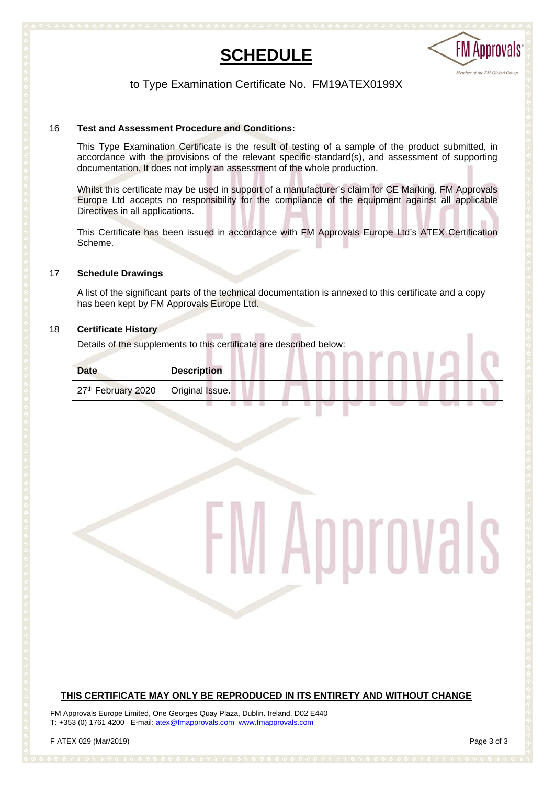



#### to Type Examination Certificate No. FM19ATEX0199X

#### 16 **Test and Assessment Procedure and Conditions:**

This Type Examination Certificate is the result of testing of a sample of the product submitted, in accordance with the provisions of the relevant specific standard(s), and assessment of supporting documentation. It does not imply an assessment of the whole production.

Whilst this certificate may be used in support of a manufacturer's claim for CE Marking, FM Approvals Europe Ltd accepts no responsibility for the compliance of the equipment against all applicable Directives in all applications.

This Certificate has been issued in accordance with FM Approvals Europe Ltd's ATEX Certification Scheme.

#### 17 **Schedule Drawings**

A list of the significant parts of the technical documentation is annexed to this certificate and a copy has been kept by FM Approvals Europe Ltd.

#### 18 **Certificate History**

Details of the supplements to this certificate are described below:

| <b>Date</b>                          | <b>Description</b> |  |
|--------------------------------------|--------------------|--|
| 27th February 2020   Original Issue. |                    |  |

# Approvals

#### **THIS CERTIFICATE MAY ONLY BE REPRODUCED IN ITS ENTIRETY AND WITHOUT CHANGE**

FM Approvals Europe Limited, One Georges Quay Plaza, Dublin. Ireland. D02 E440 T: +353 (0) 1761 4200 E-mail: atex@fmapprovals.com www.fmapprovals.com